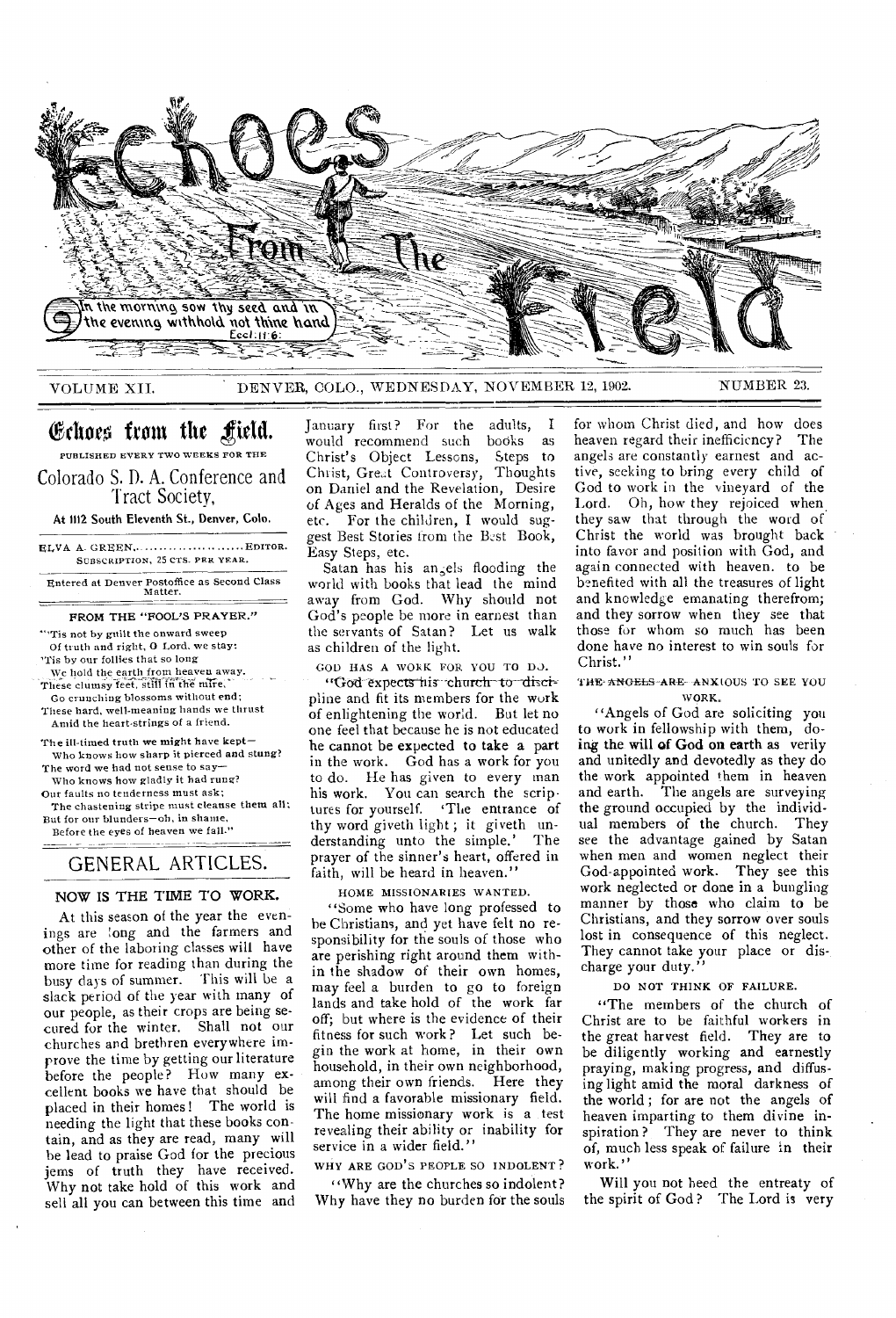

VOLUME XII, DENVER, COLO., WEDNESDAY, NOVEMBER 12, 1902. NUMBER 23.

# Echoes from the field.

PUBLISHED EVERY TWO WEEKS FOR THE Colorado S. D. A. Conference and 'Tract Society,

At 1112 South Eleventh St., Denver, Colo.

ELVA A. GREEN,. .... ........... ...... EDITOR. SUBSCRIPTION, 25 CTS. PER YEAR.

Entered at Denver Postoffice as Second Class Matter.

#### FROM THE "FOOL'S PRAYER."

"'Tis not by guilt the onward sweep Of truth and right, 0 Lord, we stay: 'Tis by our follies that so long

We hold the earth from heaven away.

These clumsy feet, still in the mire. Go crunching blossoms without end;

These hard, well-meaning hands we thrust

Amid the heart-strings of a friend. The ill-timed truth we might have kept—

Who knows how sharp it pierced and stung? The word we had not sense to say—

Who knows how gladly it had rung?

Our faults no tenderness must ask; The chastening stripe must cleanse them all; But for our blunders—oh, in shame,

Before the eyes of heaven we fall."

## GENERAL ARTICLES.

#### **NOW IS THE TIME TO WORK.**

At this season of the year the evenings are long and the farmers and other of the laboring classes will have more time for reading than during the busy days of summer. This will be a slack period of the year with many of our people, as their crops are being secured for the winter. Shall not our churches and brethren everywhere improve the time by getting our literature before the people? How many excellent books we have that should be placed in their homes! The world is needing the light that these books contain, and as they are read, many will be lead to praise God for the precious jems of truth they have received. Why not take hold of this work and sell all you can between this time and

January first? For the adults, I would recommend such books as Christ's Object Lessons, Steps to Christ, Great Controversy, Thoughts on Daniel and the Revelation, Desire of Ages and Heralds of the Morning, etc. For the children, I would suggest Best Stories from the Best Book, Easy Steps, etc.

Satan has his angels flooding the world with books that lead the mind away from God. Why should not God's people be more in earnest than the servants of Satan? Let us walk as children of the light.

COD HAS A WORK FOR YOU TO DJ.

"God expects his church to discipline and fit its members for the work of enlightening the world. But let no one feel that because he is not educated he cannot be expected **to take a part**  in the work. God has a work for you to do. He has given to every man his work. You can search the scriptures for yourself. 'The entrance of thy word giveth light; it giveth un-<br>derstanding unto the simple.' The derstanding unto the simple.' prayer of the sinner's heart, offered in faith, will be heard in heaven.'

HOME MISSIONARIES WANTED.

"Some who have long professed to he Christians, and yet have felt no responsibility for the souls of those who are perishing right around them within the shadow of their own homes, may feel a burden to go to foreign lands and take hold of the work far off; but where is the evidence of their fitness for such work? Let such begin the work at home, in their own household, in their own neighborhood, among their own friends. Here they will find a favorable missionary field. The home missionary work is a test revealing their ability or inability for service in a wider field."

WHY ARE GOD'S PEOPLE SO INDOLENT?

"Why are the churches so indolent? Why have they no burden for the souls

for whom Christ died, and how does<br>heaven regard their inefficiency? The heaven regard their inefficiency? angels are constantly earnest and active, seeking to bring every child of God to work in the vineyard of the Lord. Oh, how they rejoiced when. they saw that through the word of Christ the world was brought back into favor and position with God, and again connected with heaven. to be benefited with all the treasures of light and knowledge emanating therefrom; and they sorrow when they see that those for whom so much has been done have no interest to win souls for Christ."

THE-ANGELS-ARE-ANXIOUS TO SEE YOU WORK.

"Angels of God are soliciting you to work in fellowship with them, doing **the will of God on earth** as verily and unitedly and devotedly as they do the work appointed them in heaven and earth. The angels are surveying the ground occupied by the individual members of the church. They see the advantage gained by Satan when men and women neglect their God-appointed work. They see this work neglected or done in a bungling manner by those who claim to be Christians, and they sorrow over souls lost in consequence of this neglect. They cannot take your place or discharge your duty.

DO NOT THINK OF FAILURE.

"The members of the church of Christ are to be faithful workers in the great harvest field. They are to be diligently working and earnestly praying, making progress, and diffusing light amid the moral darkness of the world ; for are not the angels of heaven imparting to them divine inspiration? They are never to think of, much less speak of failure in their work."

**Will** you not heed the entreaty of the spirit of God? The Lord is very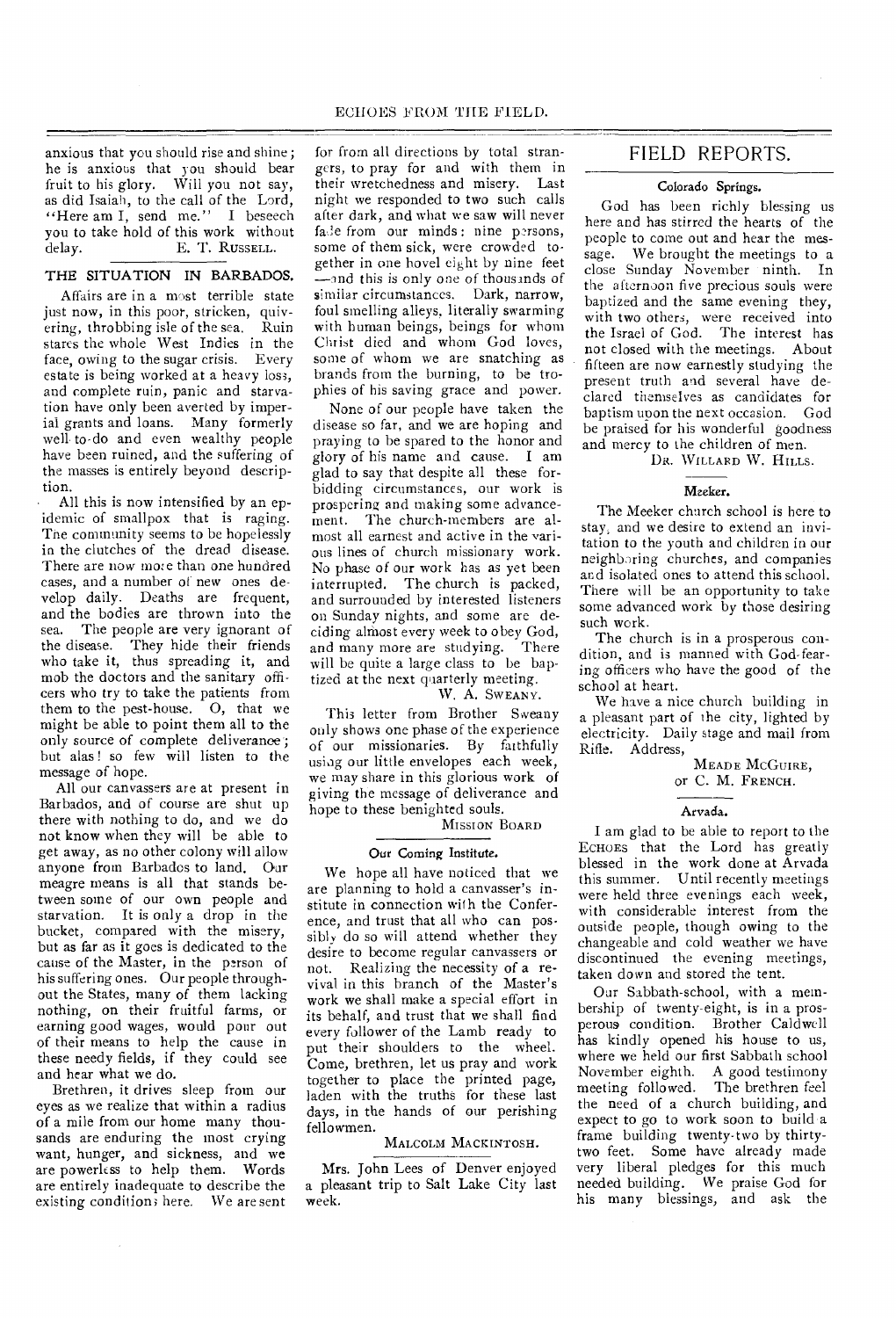anxious that you should rise and shine; he is anxious that you should bear fruit to his glory. Will you not say, as did Isaiah, to the call of the Lord, "Here am I, send me." I beseech you to take hold of this work without<br>delay. E. T. RUSSELL. E. T. RUSSELL.

#### THE SITUATION IN BARBADOS.

Affairs are in a most terrible state just now, in this poor, stricken, quivering, throbbing isle of the sea. Ruin stares the whole West Indies in the face, owing to the sugar crisis. Every estate is being worked at a heavy loss, and complete ruin, panic and starvation have only been averted by imperial grants and loans. Many formerly well to-do and even wealthy people have been ruined, and the suffering of the masses is entirely beyond description.

All this is now intensified by an epidemic of smallpox that is raging. The community seems to be hopelessly in the clutches of the dread disease. There are now more than one hundred cases, and a number of new ones develop daily. Deaths are frequent, and the bodies are thrown into the sea. The people are very ignorant of the disease. They hide their friends who take it, thus spreading it, and mob the doctors and the sanitary officers who try to take the patients from them to the pest-house. O, that we might be able to point them all to the only source of complete deliverance; but alas ! so few will listen to the message of hope.

All our canvassers are at present in Barbados, and of course are shut up there with nothing to do, and we do not know when they will be able to get away, as no other colony will allow anyone from Barbados to land. Our meagre means is all that stands between some of our own people and starvation. It is only a drop in the bucket, compared with the misery, but as far as it goes is dedicated to the cause of the Master, in the person of his suffering ones. Our people throughout the States, many of them lacking nothing, on their fruitful farms, or earning good wages, would pour out of their means to help the cause in these needy fields, if they could see and hear what we do.

Brethren, it drives sleep from our eyes as we realize that within a radius of a mile from our home many thousands are enduring the most crying want, hunger, and sickness, and we are powerless to help them. Words are entirely inadequate to describe the existing condition; here. We are sent

for from all directions by total strangers, to pray for and with them in their wretchedness and misery. Last night we responded to two such calls after dark, and what we saw will never fade from our minds: nine persons, some of them sick, were crowded together in one hovel eight by nine feet —and this is only one of thousands of similar circumstances. Dark, narrow, foul smelling alleys, literally swarming with human beings, beings for whom Christ died and whom God loves, some of whom we are snatching as brands from the burning, to be trophies of his saving grace and power.

None of our people have taken the disease so far, and we are hoping and praying to be spared to the honor and glory of his name and cause. I am glad to say that despite all these forbidding circumstances, our work is prospering and making some advancement. The church-members are almost all earnest and active in the various lines of church missionary work. No phase of our work has as yet been interrupted. The church is packed, and surrounded by interested listeners on Sunday nights, and some are deciding almost every week to obey God, and many more are studying. There will be quite a large class to be baptized at the next quarterly meeting.

#### W. A. SWEANY.

This letter from Brother Sweany only shows one phase of the experience of our missionaries. By faithfully using our little envelopes each week, we may share in this glorious work of giving the message of deliverance and hope to these benighted souls.

### MISSION BOARD

#### Our Coming Institute.

We hope all have noticed that we are planning to hold a canvasser's institute in connection with the Conference, and trust that all who can possibly do so will attend whether they desire to become regular canvassers or not. Realizing the necessity of a revival in this branch of the Master's work we shall make a special effort in its behalf, and trust that we shall find every follower of the Lamb ready to put their shoulders to the wheel. Come, brethren, let us pray and work together to place the printed page, laden with the truths for these last days, in the hands of our perishing fellowmen.

#### MALCOLM MACKINTOSH.

Mrs. John Lees of Denver enjoyed a pleasant trip to Salt Lake City last week.

### FIELD REPORTS.

#### Colorado Springs.

God has been richly blessing us here and has stirred the hearts of the people to come out and hear the message. We brought the meetings to a close Sunday November ninth. In the afternoon five precious souls were baptized and the same evening they, with two others, were received into the Israel of God. The interest has not closed with the meetings. About fifteen are now earnestly studying the present truth and several have declared themselves as candidates for baptism upon the next occasion. God be praised for his wonderful goodness and mercy to the children of men.

DR. WILLARD W. HILLS.

#### Meeker.

The Meeker church school is here to stay, and we desire to extend an invitation to the youth and children in our neighboring churches, and companies and isolated ones to attend this school. There will be an opportunity to take some advanced work by those desiring such work.

The church is in a prosperous condition, and is manned with God-fearing officers who have the good of the school at heart.

We have a nice church building in a pleasant part of the city, lighted by electricity. Daily stage and mail from Rifle. Address,

MEADE MCGUIRE, or C. M. FRENCH.

#### Arvada.

I am glad to be able to report to the ECHOES that the Lord has greatly blessed in the work done at Arvada this summer. Until recently meetings were held three evenings each week, with considerable interest from the outside people, though owing to the changeable and cold weather we have discontinued the evening meetings, taken down and stored the tent.

Our Sabbath-school, with a membership of twenty-eight, is in a prosperous condition. Brother Caldwell has kindly opened his house to us, where we held our first Sabbath school November eighth. A good testimony meeting followed. The brethren *feel*  the need of a church building, and expect to go to work soon to build a frame building twenty-two by thirtytwo feet. Some have already made very liberal pledges for this much needed building. We praise God for his many blessings, and ask the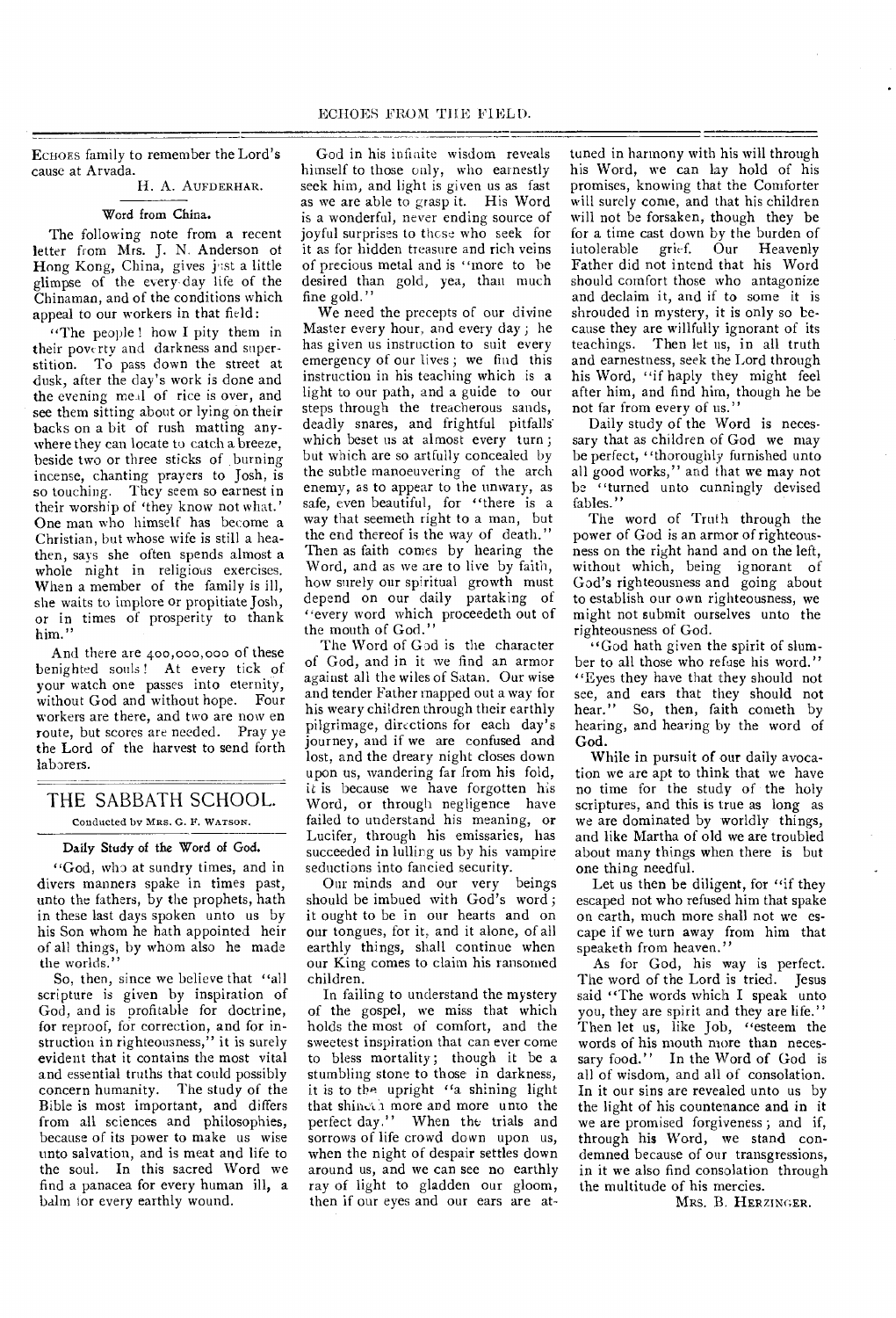ECHOES family to remember the Lord's cause at Arvada.

# H. A. AUFDERHAR.

#### Word from China.

The following note from a recent letter from Mrs. J. N. Anderson of Hong Kong, China, gives just a little glimpse of the every day life of the Chinaman, and of the conditions which appeal to our workers in that field:

"The people! how I pity them in their poverty and darkness and superstition. To pass down the street at dusk, after the day's work is done and the evening meal of rice is over, and see them sitting about or lying on their backs on a bit of rush matting anywhere they can locate to catch a breeze, beside two or three sticks of burning incense, chanting prayers to Josh, is so touching. They seem so earnest in their worship of 'they know not what.' One man who himself has become a Christian, but whose wife is still a heathen, says she often spends almost a whole night in religious exercises. When a member of the family is ill, she waits to implore or propitiate Josh, or in times of prosperity to thank him."

And there are 400,000,000 of these benighted souls ! At every tick of your watch one passes into eternity, without God and without hope. Four workers are there, and two are now en route, but scores are needed. Pray ye the Lord of the harvest to send forth laborers.

### THE SABBATH SCHOOL. Conducted by MRS. G. F. WATSON.

#### Daily Study of the Word of God.

"God, who at sundry times, and in divers manners spake in times past, unto the fathers, by the prophets, hath in these last days spoken unto us by his Son whom he hath appointed heir of all things, by whom also he made the worlds."

So, then, since we believe that "all scripture is given by inspiration of God, and is profitable for doctrine, for reproof, for correction, and for instruction in righteousness," it is surely evident that it contains the most vital and essential truths that could possibly concern humanity. The study of the Bible is most important, and differs from all sciences and philosophies, because of its power to make us wise unto salvation, and is meat and life to the soul. In this sacred Word we find a panacea for every human ill, a balm for every earthly wound.

God in his infinite wisdom reveals himself to those only, who earnestly seek him, and light is given us as fast as we are able to grasp it. His Word is a wonderful, never ending source of joyful surprises to those who seek for it as for hidden treasure and rich veins of precious metal and is "more to be desired than gold, yea, than much fine gold."

We need the precepts of our divine Master every hour, and every day ; he has given us instruction to suit every emergency of our lives ; we find this instruction in his teaching which is a light to our path, and a guide to our steps through the treacherous sands, deadly snares, and frightful pitfalls' which beset us at almost every turn ; but which are so artfully concealed by the subtle manoeuvering of the arch enemy, as to appear to the unwary, as safe, even beautiful, for "there is a way that seemeth right to a man, but the end thereof is the way of death." Then as faith comes by hearing the Word, and as we are to live by faith, how surely our spiritual growth must depend on our daily partaking of "every word which proceedeth out of the mouth of God."

The Word of God is the character of God, and in it we find an armor against all the wiles of Satan. Our wise and tender Father mapped out a way for his weary children through their earthly pilgrimage, directions for each day's journey, and if we are confused and lost, and the dreary night closes down upon us, wandering far from his fold, it is because we have forgotten his Word, or through negligence have failed to understand his meaning, or Lucifer, through his emissaries, has succeeded in lulling us by his vampire seductions into fancied security.

Our minds and our very beings should be imbued with God's word ; it ought to be in our hearts and on our tongues, for it, and it alone, of all earthly things, shall continue when our King comes to claim his ransomed children.

In failing to understand the mystery of the gospel, we miss that which holds the most of comfort, and the sweetest inspiration that can ever come to bless mortality; though it be a stumbling stone to those in darkness, it is to the upright "a shining light that shinesh more and more unto the perfect day." When the trials and sorrows of life crowd down upon us, when the night of despair settles down around us, and we can see no earthly ray of light to gladden our gloom, then if our eyes and our ears are at-

tuned in harmony with his will through his Word, we can lay hold of his promises, knowing that the Comforter will surely come, and that his children will not be forsaken, though they be for a time cast down by the burden of iutolerable grief. Our Heavenly Father did not intend that his Word should comfort those who antagonize and declaim it, and if to some it is shrouded in mystery, it is only so because they are willfully ignorant of its teachings. 'Then let us, in all truth and earnestness, seek the Lord through his Word, "if haply they might feel after him, and find him, though he be not far from every of us."

Daily study of the Word is necessary that as children of God we may be perfect, ''thoroughly furnished unto all good works," and that we may not be "turned unto cunningly devised fables.'

The word of Truth through the power of God is an armor of righteousness on the right hand and on the left, without which, being ignorant of God's righteousness and going about to establish our own righteousness, we might not submit ourselves unto the righteousness of God.

"God hath given the spirit of slumber to all those who refuse his word." "Eyes they have that they should not see, and ears that they should not hear." So, then, faith cometh by hearing, and hearing by the word of God.

While in pursuit of our daily avocation we are apt to think that we have no time for the study of the holy scriptures, and this is true as long as we are dominated by worldly things, and like Martha of old we are troubled about many things when there is but one thing needful.

Let us then be diligent, for "if they escaped not who refused him that spake on earth, much more shall not we escape if we turn away from him that speaketh from heaven."

As for God, his way is perfect. The word of the Lord is tried. Jesus said "The words which I speak unto you, they are spirit and they are life." Then let us, like Job, "esteem the words of his mouth more than necessary food." In the Word of God is all of wisdom, and all of consolation. In it our sins are revealed unto us by the light of his countenance and in it we are promised forgiveness ; and if, through his Word, we stand condemned because of our transgressions, in it we also find consolation through the multitude of his mercies.

MRS. B. HERZINGER.